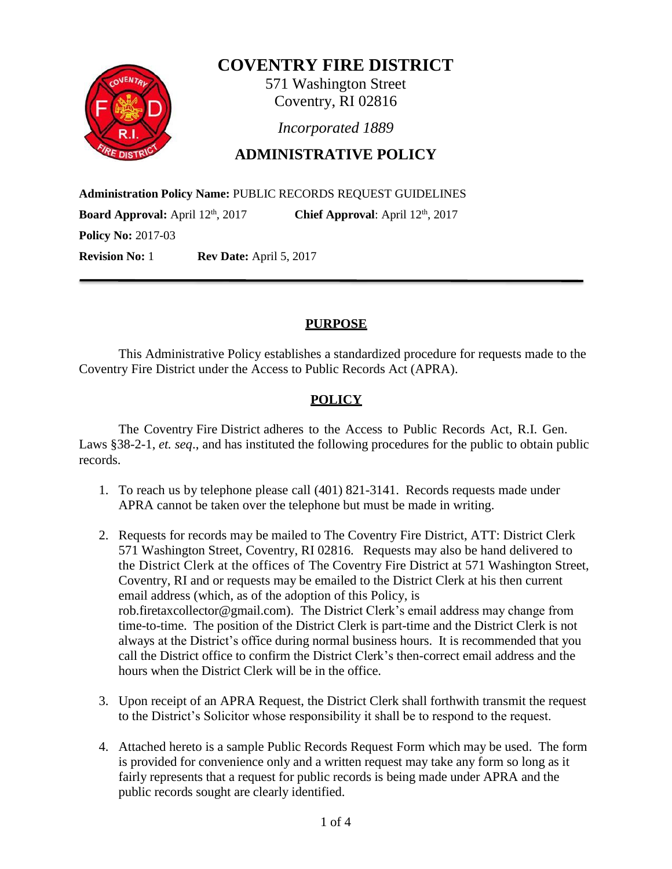

**COVENTRY FIRE DISTRICT**

571 Washington Street Coventry, RI 02816

*Incorporated 1889*

## **ADMINISTRATIVE POLICY**

**Administration Policy Name:** PUBLIC RECORDS REQUEST GUIDELINES **Board Approval:** April  $12<sup>th</sup>$ , 2017 Chief Approval: April  $12<sup>th</sup>$ , 2017 **Policy No:** 2017-03 **Revision No:** 1 **Rev Date:** April 5, 2017

#### **PURPOSE**

This Administrative Policy establishes a standardized procedure for requests made to the Coventry Fire District under the Access to Public Records Act (APRA).

### **POLICY**

The Coventry Fire District adheres to the Access to Public Records Act, R.I. Gen. Laws §38-2-1, *et. seq*., and has instituted the following procedures for the public to obtain public records.

- 1. To reach us by telephone please call (401) 821-3141. Records requests made under APRA cannot be taken over the telephone but must be made in writing.
- 2. Requests for records may be mailed to The Coventry Fire District, ATT: District Clerk 571 Washington Street, Coventry, RI 02816. Requests may also be hand delivered to the District Clerk at the offices of The Coventry Fire District at 571 Washington Street, Coventry, RI and or requests may be emailed to the District Clerk at his then current email address (which, as of the adoption of this Policy, is rob.firetaxcollector@gmail.com). The District Clerk's email address may change from time-to-time. The position of the District Clerk is part-time and the District Clerk is not always at the District's office during normal business hours. It is recommended that you call the District office to confirm the District Clerk's then-correct email address and the hours when the District Clerk will be in the office.
- 3. Upon receipt of an APRA Request, the District Clerk shall forthwith transmit the request to the District's Solicitor whose responsibility it shall be to respond to the request.
- 4. Attached hereto is a sample Public Records Request Form which may be used. The form is provided for convenience only and a written request may take any form so long as it fairly represents that a request for public records is being made under APRA and the public records sought are clearly identified.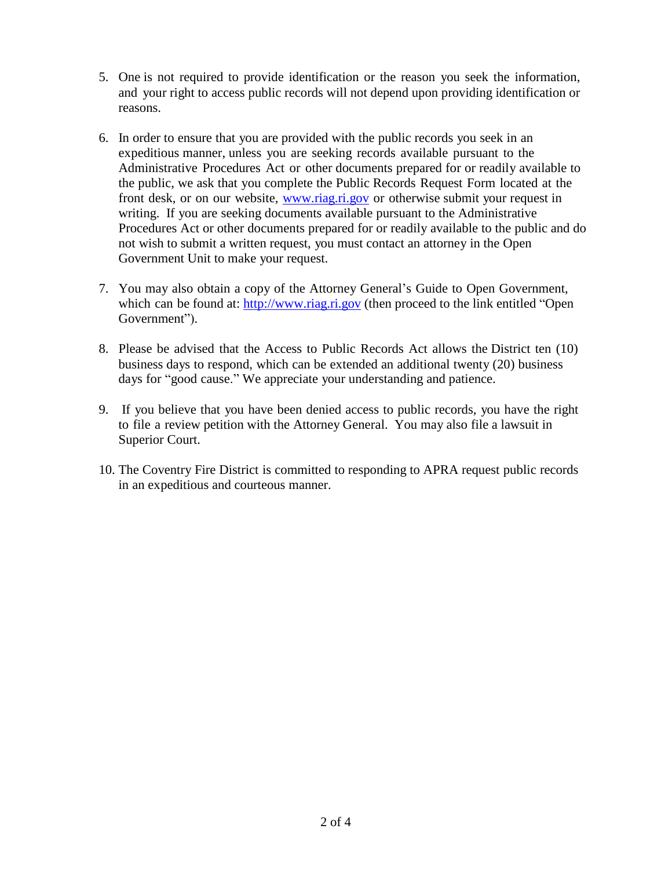- 5. One is not required to provide identification or the reason you seek the information, and your right to access public records will not depend upon providing identification or reasons.
- 6. In order to ensure that you are provided with the public records you seek in an expeditious manner, unless you are seeking records available pursuant to the Administrative Procedures Act or other documents prepared for or readily available to the public, we ask that you complete the Public Records Request Form located at the front desk, or on our website, www.riag.ri.gov or otherwise submit your request in writing. If you are seeking documents available pursuant to the Administrative Procedures Act or other documents prepared for or readily available to the public and do not wish to submit a written request, you must contact an attorney in the Open Government Unit to make your request.
- 7. You may also obtain a copy of the Attorney General's Guide to Open Government, which can be found at: http://www.riag.ri.gov (then proceed to the link entitled "Open" Government").
- 8. Please be advised that the Access to Public Records Act allows the District ten (10) business days to respond, which can be extended an additional twenty (20) business days for "good cause." We appreciate your understanding and patience.
- 9. If you believe that you have been denied access to public records, you have the right to file a review petition with the Attorney General. You may also file a lawsuit in Superior Court.
- 10. The Coventry Fire District is committed to responding to APRA request public records in an expeditious and courteous manner.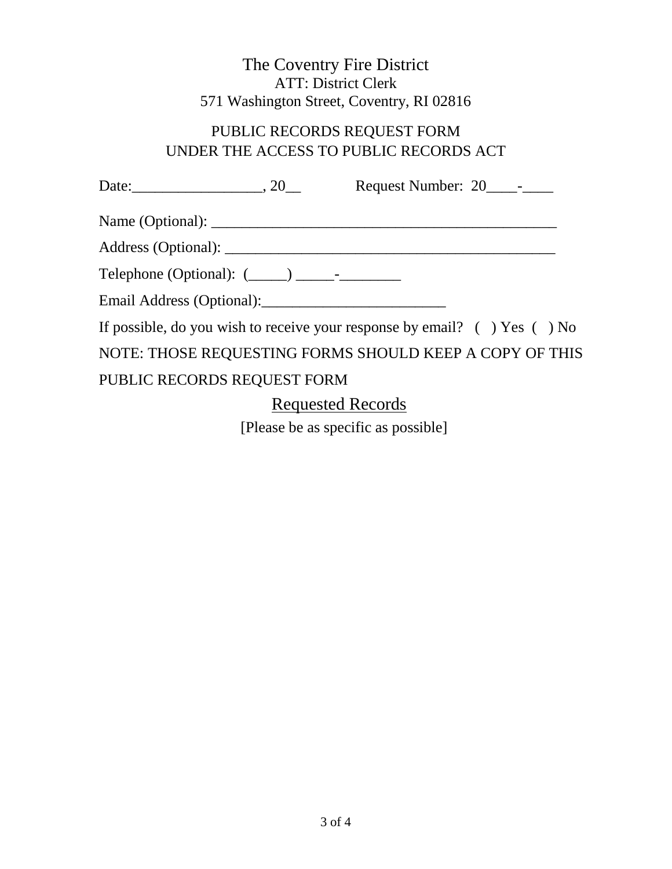# The Coventry Fire District ATT: District Clerk 571 Washington Street, Coventry, RI 02816

# PUBLIC RECORDS REQUEST FORM UNDER THE ACCESS TO PUBLIC RECORDS ACT

|                             | Date: 20 Request Number: 20 Request Number: 20 Request Number: 20 Request Number: 20 Request Number: 20 Request Number: 20 Request Number: 20 Request Number: 20 Request Number: 20 Request Number: 20 Request Number: 20 Requ |
|-----------------------------|--------------------------------------------------------------------------------------------------------------------------------------------------------------------------------------------------------------------------------|
|                             |                                                                                                                                                                                                                                |
|                             |                                                                                                                                                                                                                                |
|                             |                                                                                                                                                                                                                                |
|                             |                                                                                                                                                                                                                                |
|                             | If possible, do you wish to receive your response by email? $($ $)$ Yes $($ $)$ No                                                                                                                                             |
|                             | NOTE: THOSE REQUESTING FORMS SHOULD KEEP A COPY OF THIS                                                                                                                                                                        |
| PUBLIC RECORDS REQUEST FORM |                                                                                                                                                                                                                                |
|                             | <b>Requested Records</b>                                                                                                                                                                                                       |
|                             |                                                                                                                                                                                                                                |

[Please be as specific as possible]